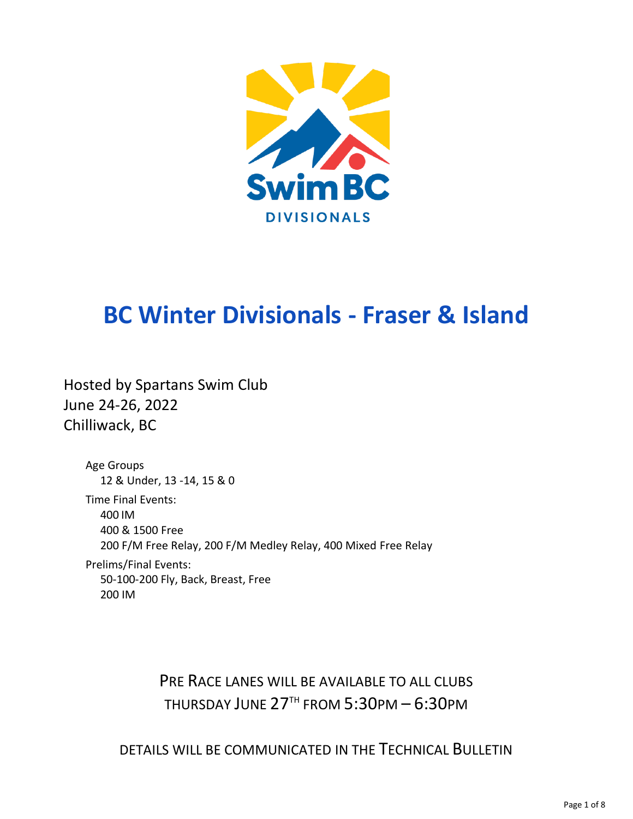

# **BC Winter Divisionals - Fraser & Island**

Hosted by Spartans Swim Club June 24-26, 2022 Chilliwack, BC

> Age Groups 12 & Under, 13 -14, 15 & 0 Time Final Events: 400 IM 400 & 1500 Free 200 F/M Free Relay, 200 F/M Medley Relay, 400 Mixed Free Relay Prelims/Final Events: 50-100-200 Fly, Back, Breast, Free

200 IM

PRE RACE LANES WILL BE AVAILABLE TO ALL CLUBS THURSDAY JUNE 27TH FROM 5:30PM - 6:30PM

DETAILS WILL BE COMMUNICATED IN THE TECHNICAL BULLETIN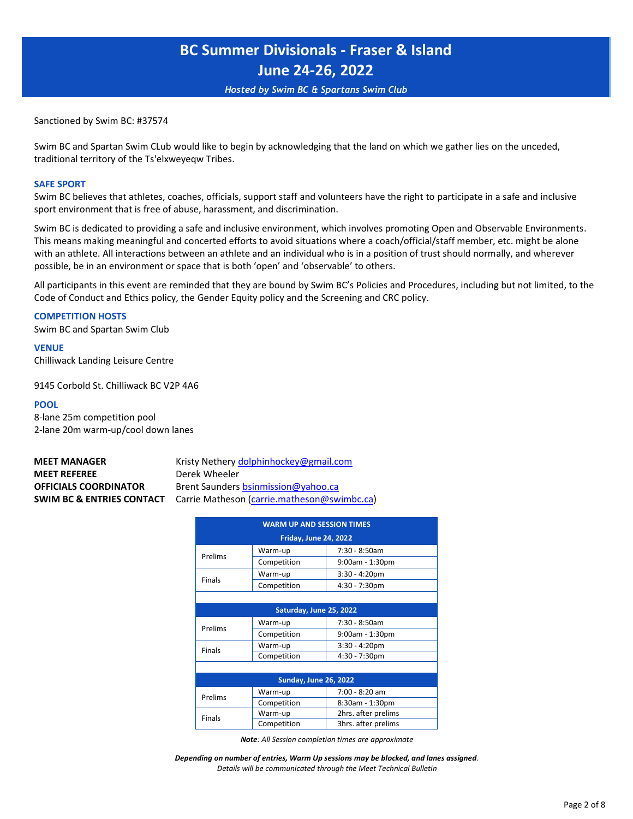*Hosted by Swim BC & Spartans Swim Club*

Sanctioned by Swim BC: #37574

Swim BC and Spartan Swim CLub would like to begin by acknowledging that the land on which we gather lies on the unceded, traditional territory of the Ts'elxweyeqw Tribes.

#### **SAFE SPORT**

Swim BC believes that athletes, coaches, officials, support staff and volunteers have the right to participate in a safe and inclusive sport environment that is free of abuse, harassment, and discrimination.

Swim BC is dedicated to providing a safe and inclusive environment, which involves promoting Open and Observable Environments. This means making meaningful and concerted efforts to avoid situations where a coach/official/staff member, etc. might be alone with an athlete. All interactions between an athlete and an individual who is in a position of trust should normally, and wherever possible, be in an environment or space that is both 'open' and 'observable' to others.

All participants in this event are reminded that they are bound by Swim BC's Policies and Procedures, including but not limited, to the Code of Conduct and Ethics policy, the Gender Equity policy and the Screening and CRC policy.

#### **COMPETITION HOSTS**

Swim BC and Spartan Swim Club

**VENUE**  Chilliwack Landing Leisure Centre

9145 Corbold St. Chilliwack BC V2P 4A6

#### **POOL**

8-lane 25m competition pool 2-lane 20m warm-up/cool down lanes

# **[MEET REFEREE](mailto:dolphinhockey@gmail.com)** Derek Wheeler **[SWIM BC & ENTRIES](mailto:bsinmission@yahoo.ca) CONTACT** Carrie Matheson [\(carrie.matheson@swimbc.ca\)](mailto:carrie.matheson@swimbc.ca)

**MEET MANAGER** Kristy Nether[y dolphinhockey@gmail.com](mailto:dolphinhockey@gmail.com) **OFFICIALS COORDINATOR** Brent Saunders **bsinmission@yahoo.ca** 

| <b>WARM UP AND SESSION TIMES</b> |                              |                    |  |  |  |  |  |  |  |
|----------------------------------|------------------------------|--------------------|--|--|--|--|--|--|--|
|                                  | <b>Friday, June 24, 2022</b> |                    |  |  |  |  |  |  |  |
| Prelims                          | Warm-up                      | 7:30 - 8:50am      |  |  |  |  |  |  |  |
|                                  | Competition                  | $9:00$ am - 1:30pm |  |  |  |  |  |  |  |
| Finals                           | Warm-up                      | $3:30 - 4:20$ pm   |  |  |  |  |  |  |  |
|                                  | Competition                  | $4:30 - 7:30$ pm   |  |  |  |  |  |  |  |
|                                  |                              |                    |  |  |  |  |  |  |  |
| Saturday, June 25, 2022          |                              |                    |  |  |  |  |  |  |  |
| Prelims                          | Warm-up                      | 7:30 - 8:50am      |  |  |  |  |  |  |  |
|                                  | Competition                  | 9:00am - 1:30pm    |  |  |  |  |  |  |  |
| <b>Finals</b>                    | Warm-up                      | $3:30 - 4:20$ pm   |  |  |  |  |  |  |  |
|                                  | Construction of the late     | $1.20 - 7.20 - 1$  |  |  |  |  |  |  |  |

|         | <b>Sunday, June 26, 2022</b> |                     |
|---------|------------------------------|---------------------|
| Prelims | Warm-up                      | 7:00 - 8:20 am      |
|         | Competition                  | 8:30am - 1:30pm     |
| Finals  | Warm-up                      | 2hrs. after prelims |
|         | Competition                  | 3hrs. after prelims |

Competition 4:30 - 7:30pm

*Note: All Session completion times are approximate*

*Depending on number of entries, Warm Up sessions may be blocked, and lanes assigned. Details will be communicated through the Meet Technical Bulletin*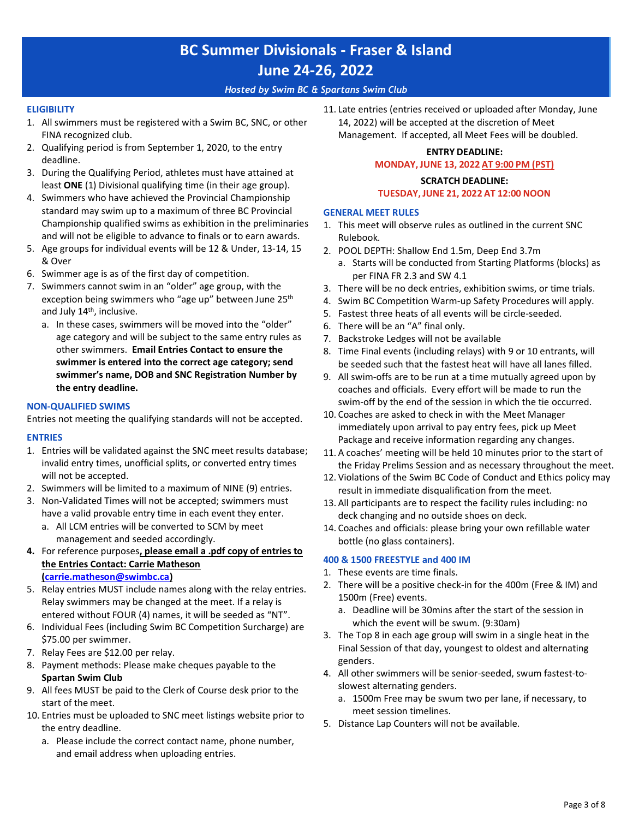### *Hosted by Swim BC & Spartans Swim Club*

#### **ELIGIBILITY**

- 1. All swimmers must be registered with a Swim BC, SNC, or other FINA recognized club.
- 2. Qualifying period is from September 1, 2020, to the entry deadline.
- 3. During the Qualifying Period, athletes must have attained at least **ONE** (1) Divisional qualifying time (in their age group).
- 4. Swimmers who have achieved the Provincial Championship standard may swim up to a maximum of three BC Provincial Championship qualified swims as exhibition in the preliminaries and will not be eligible to advance to finals or to earn awards.
- 5. Age groups for individual events will be 12 & Under, 13-14, 15 & Over
- 6. Swimmer age is as of the first day of competition.
- 7. Swimmers cannot swim in an "older" age group, with the exception being swimmers who "age up" between June 25<sup>th</sup> and July 14<sup>th</sup>, inclusive.
	- a. In these cases, swimmers will be moved into the "older" age category and will be subject to the same entry rules as other swimmers. **Email Entries Contact to ensure the swimmer is entered into the correct age category; send swimmer's name, DOB and SNC Registration Number by the entry deadline.**

#### **NON-QUALIFIED SWIMS**

Entries not meeting the qualifying standards will not be accepted.

#### **ENTRIES**

- 1. Entries will be validated against the SNC meet results database; invalid entry times, unofficial splits, or converted entry times will not be accepted.
- 2. Swimmers will be limited to a maximum of NINE (9) entries.
- 3. Non-Validated Times will not be accepted; swimmers must have a valid provable entry time in each event they enter. a. All LCM entries will be converted to SCM by meet management and seeded accordingly.
- **4.** For reference purposes**, please email a .pdf copy of entries to the Entries Contact: Carrie Matheson [\(carrie.matheson@swimbc.ca\)](mailto:carrie.matheson@swimbc.ca)**
- 5. [Relay entries MUST incl](mailto:carrie.matheson@swimbc.ca)ude names along with the relay entries. Relay swimmers may be changed at the meet. If a relay is entered without FOUR (4) names, it will be seeded as "NT".
- 6. Individual Fees (including Swim BC Competition Surcharge) are \$75.00 per swimmer.
- 7. Relay Fees are \$12.00 per relay.
- 8. Payment methods: Please make cheques payable to the **Spartan Swim Club**
- 9. All fees MUST be paid to the Clerk of Course desk prior to the start of the meet.
- 10. Entries must be uploaded to SNC meet listings website prior to the entry deadline.
	- a. Please include the correct contact name, phone number, and email address when uploading entries.

11. Late entries (entries received or uploaded after Monday, June 14, 2022) will be accepted at the discretion of Meet Management. If accepted, all Meet Fees will be doubled.

### **ENTRY DEADLINE: MONDAY, JUNE 13, 2022 AT 9:00 PM (PST)**

### **SCRATCH DEADLINE:**

### **TUESDAY, JUNE 21, 2022 AT 12:00 NOON**

### **GENERAL MEET RULES**

- 1. This meet will observe rules as outlined in the current SNC Rulebook.
- 2. POOL DEPTH: Shallow End 1.5m, Deep End 3.7m
	- a. Starts will be conducted from Starting Platforms (blocks) as per FINA FR 2.3 and SW 4.1
- 3. There will be no deck entries, exhibition swims, or time trials.
- 4. Swim BC Competition Warm-up Safety Procedures will apply.
- 5. Fastest three heats of all events will be circle-seeded.
- 6. There will be an "A" final only.
- 7. Backstroke Ledges will not be available
- 8. Time Final events (including relays) with 9 or 10 entrants, will be seeded such that the fastest heat will have all lanes filled.
- 9. All swim-offs are to be run at a time mutually agreed upon by coaches and officials. Every effort will be made to run the swim-off by the end of the session in which the tie occurred.
- 10. Coaches are asked to check in with the Meet Manager immediately upon arrival to pay entry fees, pick up Meet Package and receive information regarding any changes.
- 11. A coaches' meeting will be held 10 minutes prior to the start of the Friday Prelims Session and as necessary throughout the meet.
- 12. Violations of the Swim BC Code of Conduct and Ethics policy may result in immediate disqualification from the meet.
- 13. All participants are to respect the facility rules including: no deck changing and no outside shoes on deck.
- 14. Coaches and officials: please bring your own refillable water bottle (no glass containers).

### **400 & 1500 FREESTYLE and 400 IM**

- 1. These events are time finals.
- 2. There will be a positive check-in for the 400m (Free & IM) and 1500m (Free) events.
	- a. Deadline will be 30mins after the start of the session in which the event will be swum. (9:30am)
- 3. The Top 8 in each age group will swim in a single heat in the Final Session of that day, youngest to oldest and alternating genders.
- 4. All other swimmers will be senior-seeded, swum fastest-toslowest alternating genders.
	- a. 1500m Free may be swum two per lane, if necessary, to meet session timelines.
- 5. Distance Lap Counters will not be available.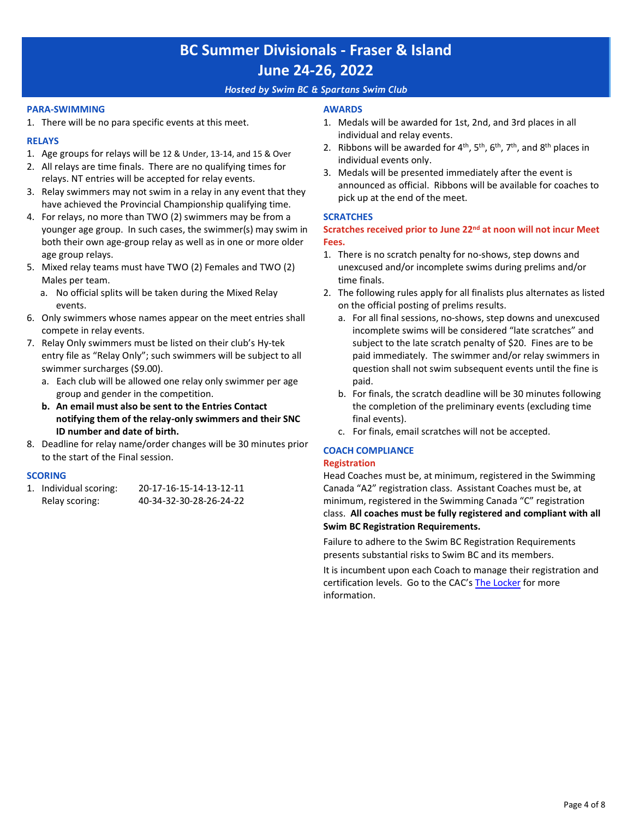### *Hosted by Swim BC & Spartans Swim Club*

#### **PARA-SWIMMING**

1. There will be no para specific events at this meet.

### **RELAYS**

- 1. Age groups for relays will be 12 & Under, 13-14, and 15 & Over
- 2. All relays are time finals. There are no qualifying times for relays. NT entries will be accepted for relay events.
- 3. Relay swimmers may not swim in a relay in any event that they have achieved the Provincial Championship qualifying time.
- 4. For relays, no more than TWO (2) swimmers may be from a younger age group. In such cases, the swimmer(s) may swim in both their own age-group relay as well as in one or more older age group relays.
- 5. Mixed relay teams must have TWO (2) Females and TWO (2) Males per team.
	- a. No official splits will be taken during the Mixed Relay events.
- 6. Only swimmers whose names appear on the meet entries shall compete in relay events.
- 7. Relay Only swimmers must be listed on their club's Hy-tek entry file as "Relay Only"; such swimmers will be subject to all swimmer surcharges (\$9.00).
	- a. Each club will be allowed one relay only swimmer per age group and gender in the competition.
	- **b. An email must also be sent to the Entries Contact notifying them of the relay-only swimmers and their SNC ID number and date of birth.**
- 8. Deadline for relay name/order changes will be 30 minutes prior to the start of the Final session.

#### **SCORING**

| 1. Individual scoring: | 20-17-16-15-14-13-12-11 |
|------------------------|-------------------------|
| Relay scoring:         | 40-34-32-30-28-26-24-22 |

#### **AWARDS**

- 1. Medals will be awarded for 1st, 2nd, and 3rd places in all individual and relay events.
- 2. Ribbons will be awarded for  $4<sup>th</sup>$ ,  $5<sup>th</sup>$ ,  $6<sup>th</sup>$ ,  $7<sup>th</sup>$ , and  $8<sup>th</sup>$  places in individual events only.
- 3. Medals will be presented immediately after the event is announced as official. Ribbons will be available for coaches to pick up at the end of the meet.

### **SCRATCHES**

**Scratches received prior to June 22nd at noon will not incur Meet Fees.**

- 1. There is no scratch penalty for no-shows, step downs and unexcused and/or incomplete swims during prelims and/or time finals.
- 2. The following rules apply for all finalists plus alternates as listed on the official posting of prelims results.
	- a. For all final sessions, no-shows, step downs and unexcused incomplete swims will be considered "late scratches" and subject to the late scratch penalty of \$20. Fines are to be paid immediately. The swimmer and/or relay swimmers in question shall not swim subsequent events until the fine is paid.
	- b. For finals, the scratch deadline will be 30 minutes following the completion of the preliminary events (excluding time final events).
	- c. For finals, email scratches will not be accepted.

### **COACH COMPLIANCE**

#### **Registration**

Head Coaches must be, at minimum, registered in the Swimming Canada "A2" registration class. Assistant Coaches must be, at minimum, registered in the Swimming Canada "C" registration class. **All coaches must be fully registered and compliant with all Swim BC Registration Requirements.**

Failure to adhere to the Swim BC Registration Requirements presents substantial risks to Swim BC and its members.

It is incumbent upon each Coach to manage their registration and certification levels. Go to the CAC's [The Locker](https://thelocker.coach.ca/account/login?mode=login) for more information.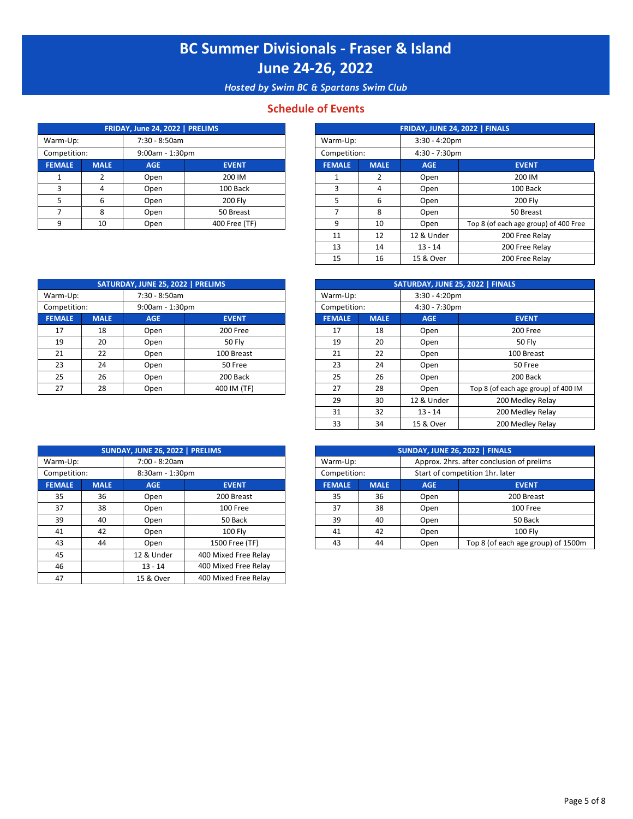*Hosted by Swim BC & Spartans Swim Club*

## **Schedule of Events**

|               |             | FRIDAY, June 24, 2022   PRELIMS |               |               |             | FRIDAY, JUNE 24, 2022   FINALS |                        |
|---------------|-------------|---------------------------------|---------------|---------------|-------------|--------------------------------|------------------------|
| Warm-Up:      |             | 7:30 - 8:50am                   |               | Warm-Up:      |             | $3:30 - 4:20$ pm               |                        |
| Competition:  |             | $9:00am - 1:30pm$               |               | Competition:  |             | $4:30 - 7:30$ pm               |                        |
| <b>FEMALE</b> | <b>MALE</b> | <b>AGE</b>                      | <b>EVENT</b>  | <b>FEMALE</b> | <b>MALE</b> | <b>AGE</b>                     | <b>EVENT</b>           |
|               |             | Open                            | 200 IM        |               |             | Open                           | 200 IM                 |
|               | Д           | Open                            | 100 Back      |               |             | Open                           | 100 Bac                |
|               | 6           | Open                            | 200 Flv       |               | 6           | Open                           | 200 Fly                |
|               | 8           | Open                            | 50 Breast     |               |             | Open                           | 50 Breas               |
|               | 10          | Open                            | 400 Free (TF) | $\Omega$      | 10          | Open                           | Top 8 (of each age gro |

| FRIDAY, June 24, 2022   PRELIMS |                   |            | FRIDAY, JUNE 24, 2022   FINALS |               |                  |                  |                                       |  |
|---------------------------------|-------------------|------------|--------------------------------|---------------|------------------|------------------|---------------------------------------|--|
| 7:30 - 8:50am<br>m-Up:          |                   |            |                                | Warm-Up:      |                  | $3:30 - 4:20$ pm |                                       |  |
| npetition:                      | $9:00am - 1:30pm$ |            | Competition:                   |               | $4:30 - 7:30$ pm |                  |                                       |  |
| <b>AALE</b>                     | <b>MALE</b>       | <b>AGE</b> | <b>EVENT</b>                   | <b>FEMALE</b> | <b>MALE</b>      | <b>AGE</b>       | <b>EVENT</b>                          |  |
|                                 |                   | Open       | 200 IM                         |               | 2                | Open             | 200 IM                                |  |
|                                 | 4                 | Open       | 100 Back                       | 3             | 4                | Open             | 100 Back                              |  |
|                                 | 6                 | Open       | 200 Fly                        | 5             | 6                | Open             | <b>200 Fly</b>                        |  |
|                                 | 8                 | Open       | 50 Breast                      |               | 8                | Open             | 50 Breast                             |  |
| 9                               | 10                | Open       | 400 Free (TF)                  | q             | 10               | Open             | Top 8 (of each age group) of 400 Free |  |
|                                 |                   |            |                                | 11            | 12               | 12 & Under       | 200 Free Relay                        |  |
|                                 |                   |            |                                | 13            | 14               | $13 - 14$        | 200 Free Relay                        |  |
|                                 |                   |            |                                | 15            | 16               | 15 & Over        | 200 Free Relay                        |  |

|               | SATURDAY, JUNE 25, 2022   PRELIMS |                 |               |               |             | SATURDAY, JUNE 25, 2022   FINALS |
|---------------|-----------------------------------|-----------------|---------------|---------------|-------------|----------------------------------|
| Warm-Up:      | 7:30 - 8:50am                     |                 |               | Warm-Up:      |             | $3:30 - 4:20$ pm                 |
| Competition:  |                                   | 9:00am - 1:30pm |               | Competition:  |             | $4:30 - 7:30$ pm                 |
| <b>FEMALE</b> | <b>MALE</b>                       | <b>AGE</b>      | <b>EVENT</b>  | <b>FEMALE</b> | <b>MALE</b> | <b>AGE</b>                       |
| 17            | 18                                | Open            | 200 Free      | 17            | 18          | Open                             |
| 19            | 20                                | Open            | <b>50 Flv</b> | 19            | 20          | Open                             |
| 21            | 22                                | Open            | 100 Breast    | 21            | 22          | Open                             |
| 23            | 24                                | Open            | 50 Free       | 23            | 24          | Open                             |
| 25            | 26                                | Open            | 200 Back      | 25            | 26          | Open                             |
| 27            | 28                                | Open            | 400 IM (TF)   | 27            | 28          | Open                             |
|               |                                   |                 |               |               |             |                                  |

|             | SATURDAY, JUNE 25, 2022   PRELIMS |                   |               |  | SATURDAY, JUNE 25, 2022   FINALS |                  |                  |                                     |  |  |
|-------------|-----------------------------------|-------------------|---------------|--|----------------------------------|------------------|------------------|-------------------------------------|--|--|
| rm-Up:      | 7:30 - 8:50am                     |                   | Warm-Up:      |  |                                  | $3:30 - 4:20$ pm |                  |                                     |  |  |
| npetition:  |                                   | $9:00am - 1:30pm$ |               |  | Competition:                     |                  | $4:30 - 7:30$ pm |                                     |  |  |
| <b>MALE</b> | <b>MALE</b>                       | <b>AGE</b>        | <b>EVENT</b>  |  | <b>FEMALE</b>                    | <b>MALE</b>      | <b>AGE</b>       | <b>EVENT</b>                        |  |  |
| 17          | 18                                | Open              | 200 Free      |  | 17                               | 18               | Open             | 200 Free                            |  |  |
| 19          | 20                                | Open              | <b>50 Fly</b> |  | 19                               | 20               | Open             | <b>50 Fly</b>                       |  |  |
| 21          | 22                                | Open              | 100 Breast    |  | 21                               | 22               | Open             | 100 Breast                          |  |  |
| 23          | 24                                | Open              | 50 Free       |  | 23                               | 24               | Open             | 50 Free                             |  |  |
| 25          | 26                                | Open              | 200 Back      |  | 25                               | 26               | Open             | 200 Back                            |  |  |
| 27          | 28                                | Open              | 400 IM (TF)   |  | 27                               | 28               | Open             | Top 8 (of each age group) of 400 IM |  |  |
|             |                                   |                   |               |  | 29                               | 30               | 12 & Under       | 200 Medley Relay                    |  |  |
|             |                                   |                   |               |  | 31                               | 32               | $13 - 14$        | 200 Medley Relay                    |  |  |
|             |                                   |                   |               |  | 33                               | 34               | 15 & Over        | 200 Medley Relay                    |  |  |

|               |             | SUNDAY, JUNE 26, 2022   PRELIMS |                |
|---------------|-------------|---------------------------------|----------------|
| Warm-Up:      |             | 7:00 - 8:20am                   |                |
| Competition:  |             | 8:30am - 1:30pm                 |                |
| <b>FEMALE</b> | <b>MALE</b> | <b>AGE</b>                      | <b>EVENT</b>   |
| 35            | 36          | Open                            | 200 Breast     |
| 37            | 38          | Open                            | 100 Free       |
| 39            | 40          | Open                            | 50 Back        |
| 41            | 42          | Open                            | 100 Fly        |
| 43            | 44          | Open                            | 1500 Free (TF) |

|                                 | SUNDAY, JUNE 26, 2022   PRELIMS |            |                      |  |               |                                |            | SUNDAY, JUNE 26, 2022   FINALS  |
|---------------------------------|---------------------------------|------------|----------------------|--|---------------|--------------------------------|------------|---------------------------------|
| 7:00 - 8:20am<br>Warm-Up:       |                                 |            | Warm-Up:             |  |               | Approx. 2hrs. after conclusion |            |                                 |
| Competition:<br>8:30am - 1:30pm |                                 |            |                      |  | Competition:  |                                |            | Start of competition 1hr. later |
| <b>FEMALE</b>                   | <b>MALE</b>                     | <b>AGE</b> | <b>EVENT</b>         |  | <b>FEMALE</b> | <b>MALE</b>                    | <b>AGE</b> |                                 |
| 35                              | 36                              | Open       | 200 Breast           |  | 35            | 36                             | Open       | 20                              |
| 37                              | 38                              | Open       | 100 Free             |  | 37            | 38                             | Open       |                                 |
| 39                              | 40                              | Open       | 50 Back              |  | 39            | 40                             | Open       |                                 |
| 41                              | 42                              | Open       | <b>100 Fly</b>       |  | 41            | 42                             | Open       |                                 |
| 43                              | 44                              | Open       | 1500 Free (TF)       |  | 43            | 44                             | Open       | Top 8 (of each                  |
| 45                              |                                 | 12 & Under | 400 Mixed Free Relay |  |               |                                |            |                                 |
| 46                              |                                 | $13 - 14$  | 400 Mixed Free Relay |  |               |                                |            |                                 |
| 47                              |                                 | 15 & Over  | 400 Mixed Free Relay |  |               |                                |            |                                 |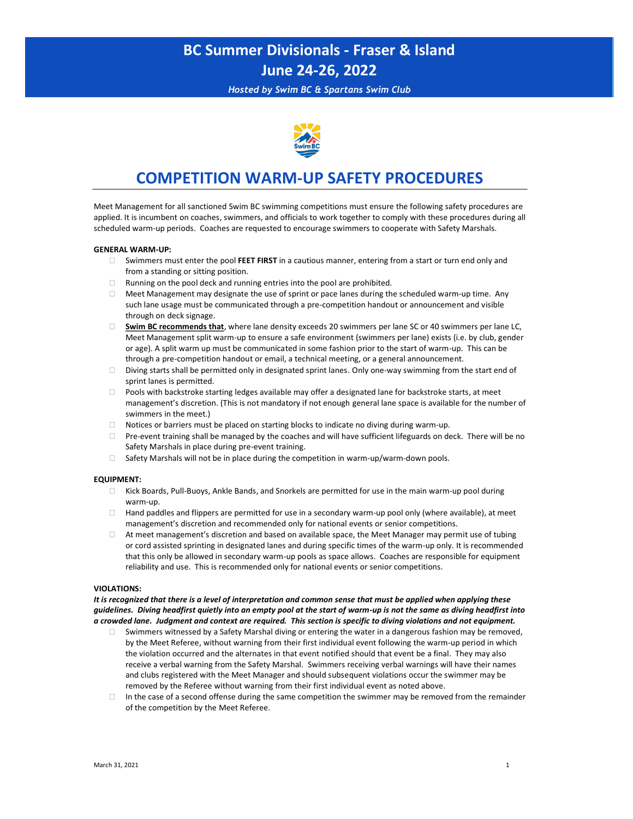*Hosted by Swim BC & Spartans Swim Club*



## **COMPETITION WARM-UP SAFETY PROCEDURES**

Meet Management for all sanctioned Swim BC swimming competitions must ensure the following safety procedures are applied. It is incumbent on coaches, swimmers, and officials to work together to comply with these procedures during all scheduled warm-up periods. Coaches are requested to encourage swimmers to cooperate with Safety Marshals.

#### **GENERAL WARM-UP:**

- Swimmers must enter the pool **FEET FIRST** in a cautious manner, entering from a start or turn end only and from a standing or sitting position.
- $\Box$  Running on the pool deck and running entries into the pool are prohibited.
- $\Box$  Meet Management may designate the use of sprint or pace lanes during the scheduled warm-up time. Any such lane usage must be communicated through a pre-competition handout or announcement and visible through on deck signage.
- **Swim BC recommends that**, where lane density exceeds 20 swimmers per lane SC or 40 swimmers per lane LC, Meet Management split warm-up to ensure a safe environment (swimmers per lane) exists (i.e. by club, gender or age). A split warm up must be communicated in some fashion prior to the start of warm-up. This can be through a pre-competition handout or email, a technical meeting, or a general announcement.
- $\Box$  Diving starts shall be permitted only in designated sprint lanes. Only one-way swimming from the start end of sprint lanes is permitted.
- Pools with backstroke starting ledges available may offer a designated lane for backstroke starts, at meet management's discretion. (This is not mandatory if not enough general lane space is available for the number of swimmers in the meet.)
- $\Box$  Notices or barriers must be placed on starting blocks to indicate no diving during warm-up.
- Pre-event training shall be managed by the coaches and will have sufficient lifeguards on deck. There will be no Safety Marshals in place during pre-event training.
- $\Box$  Safety Marshals will not be in place during the competition in warm-up/warm-down pools.

#### **EQUIPMENT:**

- Kick Boards, Pull-Buoys, Ankle Bands, and Snorkels are permitted for use in the main warm-up pool during warm-up.
- $\Box$  Hand paddles and flippers are permitted for use in a secondary warm-up pool only (where available), at meet management's discretion and recommended only for national events or senior competitions.
- $\Box$  At meet management's discretion and based on available space, the Meet Manager may permit use of tubing or cord assisted sprinting in designated lanes and during specific times of the warm-up only. It is recommended that this only be allowed in secondary warm-up pools as space allows. Coaches are responsible for equipment reliability and use. This is recommended only for national events or senior competitions.

#### **VIOLATIONS:**

*It is recognized that there is a level of interpretation and common sense that must be applied when applying these guidelines. Diving headfirst quietly into an empty pool at the start of warm-up is not the same as diving headfirst into a crowded lane. Judgment and context are required. This section is specific to diving violations and not equipment.*

- Swimmers witnessed by a Safety Marshal diving or entering the water in a dangerous fashion may be removed, by the Meet Referee, without warning from their first individual event following the warm-up period in which the violation occurred and the alternates in that event notified should that event be a final. They may also receive a verbal warning from the Safety Marshal. Swimmers receiving verbal warnings will have their names and clubs registered with the Meet Manager and should subsequent violations occur the swimmer may be removed by the Referee without warning from their first individual event as noted above.
- $\Box$  In the case of a second offense during the same competition the swimmer may be removed from the remainder of the competition by the Meet Referee.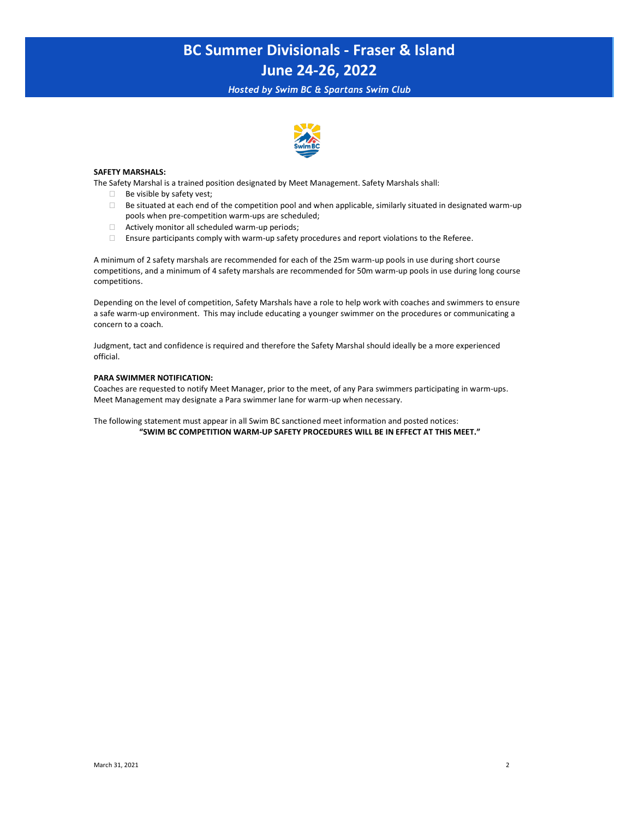*Hosted by Swim BC & Spartans Swim Club*



#### **SAFETY MARSHALS:**

The Safety Marshal is a trained position designated by Meet Management. Safety Marshals shall:

- $\Box$  Be visible by safety vest;
- $\Box$  Be situated at each end of the competition pool and when applicable, similarly situated in designated warm-up pools when pre-competition warm-ups are scheduled;
- $\Box$  Actively monitor all scheduled warm-up periods;
- Ensure participants comply with warm-up safety procedures and report violations to the Referee.

A minimum of 2 safety marshals are recommended for each of the 25m warm-up pools in use during short course competitions, and a minimum of 4 safety marshals are recommended for 50m warm-up pools in use during long course competitions.

Depending on the level of competition, Safety Marshals have a role to help work with coaches and swimmers to ensure a safe warm-up environment. This may include educating a younger swimmer on the procedures or communicating a concern to a coach.

Judgment, tact and confidence is required and therefore the Safety Marshal should ideally be a more experienced official.

#### **PARA SWIMMER NOTIFICATION:**

Coaches are requested to notify Meet Manager, prior to the meet, of any Para swimmers participating in warm-ups. Meet Management may designate a Para swimmer lane for warm-up when necessary.

The following statement must appear in all Swim BC sanctioned meet information and posted notices: **"SWIM BC COMPETITION WARM-UP SAFETY PROCEDURES WILL BE IN EFFECT AT THIS MEET."**